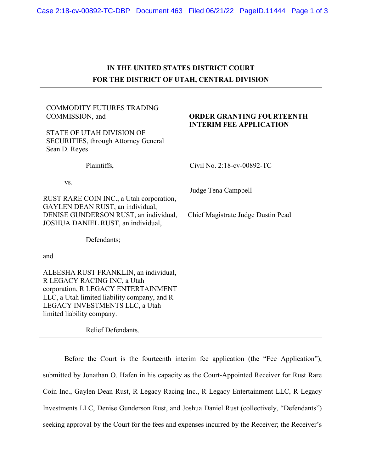| IN THE UNITED STATES DISTRICT COURT                                                                                                                                                                                         |                                                                    |  |
|-----------------------------------------------------------------------------------------------------------------------------------------------------------------------------------------------------------------------------|--------------------------------------------------------------------|--|
| FOR THE DISTRICT OF UTAH, CENTRAL DIVISION                                                                                                                                                                                  |                                                                    |  |
| <b>COMMODITY FUTURES TRADING</b><br>COMMISSION, and<br><b>STATE OF UTAH DIVISION OF</b><br>SECURITIES, through Attorney General<br>Sean D. Reyes                                                                            | <b>ORDER GRANTING FOURTEENTH</b><br><b>INTERIM FEE APPLICATION</b> |  |
| Plaintiffs,                                                                                                                                                                                                                 | Civil No. 2:18-cv-00892-TC                                         |  |
| VS.<br>RUST RARE COIN INC., a Utah corporation,<br>GAYLEN DEAN RUST, an individual,<br>DENISE GUNDERSON RUST, an individual,<br>JOSHUA DANIEL RUST, an individual,                                                          | Judge Tena Campbell<br>Chief Magistrate Judge Dustin Pead          |  |
| Defendants;                                                                                                                                                                                                                 |                                                                    |  |
| and                                                                                                                                                                                                                         |                                                                    |  |
| ALEESHA RUST FRANKLIN, an individual,<br>R LEGACY RACING INC, a Utah<br>corporation, R LEGACY ENTERTAINMENT<br>LLC, a Utah limited liability company, and R<br>LEGACY INVESTMENTS LLC, a Utah<br>limited liability company. |                                                                    |  |
| Relief Defendants.                                                                                                                                                                                                          |                                                                    |  |

Before the Court is the fourteenth interim fee application (the "Fee Application"), submitted by Jonathan O. Hafen in his capacity as the Court-Appointed Receiver for Rust Rare Coin Inc., Gaylen Dean Rust, R Legacy Racing Inc., R Legacy Entertainment LLC, R Legacy Investments LLC, Denise Gunderson Rust, and Joshua Daniel Rust (collectively, "Defendants") seeking approval by the Court for the fees and expenses incurred by the Receiver; the Receiver's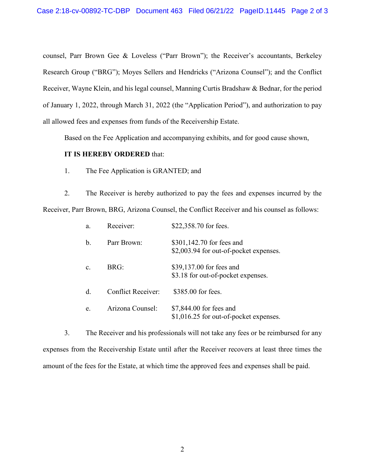counsel, Parr Brown Gee & Loveless ("Parr Brown"); the Receiver's accountants, Berkeley Research Group ("BRG"); Moyes Sellers and Hendricks ("Arizona Counsel"); and the Conflict Receiver, Wayne Klein, and his legal counsel, Manning Curtis Bradshaw & Bednar, for the period of January 1, 2022, through March 31, 2022 (the "Application Period"), and authorization to pay all allowed fees and expenses from funds of the Receivership Estate.

Based on the Fee Application and accompanying exhibits, and for good cause shown,

## **IT IS HEREBY ORDERED** that:

1. The Fee Application is GRANTED; and

2. The Receiver is hereby authorized to pay the fees and expenses incurred by the Receiver, Parr Brown, BRG, Arizona Counsel, the Conflict Receiver and his counsel as follows:

| a.    | Receiver:                 | \$22,358.70 for fees.                                               |
|-------|---------------------------|---------------------------------------------------------------------|
| b.    | Parr Brown:               | \$301,142.70 for fees and<br>\$2,003.94 for out-of-pocket expenses. |
| $C$ . | BRG:                      | \$39,137.00 for fees and<br>\$3.18 for out-of-pocket expenses.      |
| d.    | <b>Conflict Receiver:</b> | \$385.00 for fees.                                                  |
| e.    | Arizona Counsel:          | \$7,844.00 for fees and<br>\$1,016.25 for out-of-pocket expenses.   |

3. The Receiver and his professionals will not take any fees or be reimbursed for any expenses from the Receivership Estate until after the Receiver recovers at least three times the amount of the fees for the Estate, at which time the approved fees and expenses shall be paid.